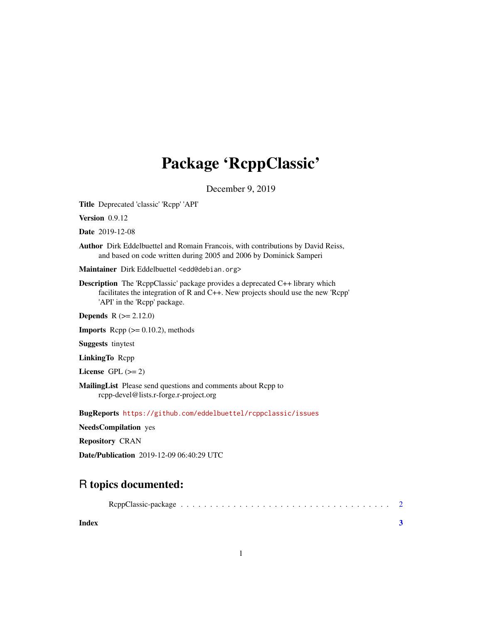## Package 'RcppClassic'

December 9, 2019

Title Deprecated 'classic' 'Rcpp' 'API'

Version 0.9.12

Date 2019-12-08

Author Dirk Eddelbuettel and Romain Francois, with contributions by David Reiss, and based on code written during 2005 and 2006 by Dominick Samperi

Maintainer Dirk Eddelbuettel <edd@debian.org>

Description The 'RcppClassic' package provides a deprecated C++ library which facilitates the integration of R and C++. New projects should use the new 'Rcpp' 'API' in the 'Rcpp' package.

**Depends**  $R (= 2.12.0)$ 

**Imports** Rcpp  $(>= 0.10.2)$ , methods

Suggests tinytest

LinkingTo Rcpp

License GPL  $(>= 2)$ 

MailingList Please send questions and comments about Rcpp to rcpp-devel@lists.r-forge.r-project.org

BugReports <https://github.com/eddelbuettel/rcppclassic/issues>

NeedsCompilation yes

Repository CRAN

Date/Publication 2019-12-09 06:40:29 UTC

### R topics documented:

|--|--|--|--|--|--|--|--|--|--|--|--|--|--|--|--|--|--|--|--|--|--|--|--|--|--|--|--|--|--|--|--|--|--|--|--|--|--|--|

**Index** [3](#page-2-0)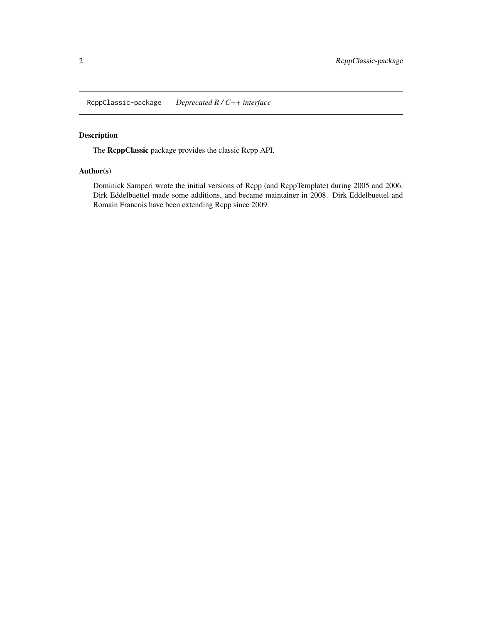<span id="page-1-0"></span>RcppClassic-package *Deprecated R / C++ interface*

#### Description

The RcppClassic package provides the classic Rcpp API.

#### Author(s)

Dominick Samperi wrote the initial versions of Rcpp (and RcppTemplate) during 2005 and 2006. Dirk Eddelbuettel made some additions, and became maintainer in 2008. Dirk Eddelbuettel and Romain Francois have been extending Rcpp since 2009.